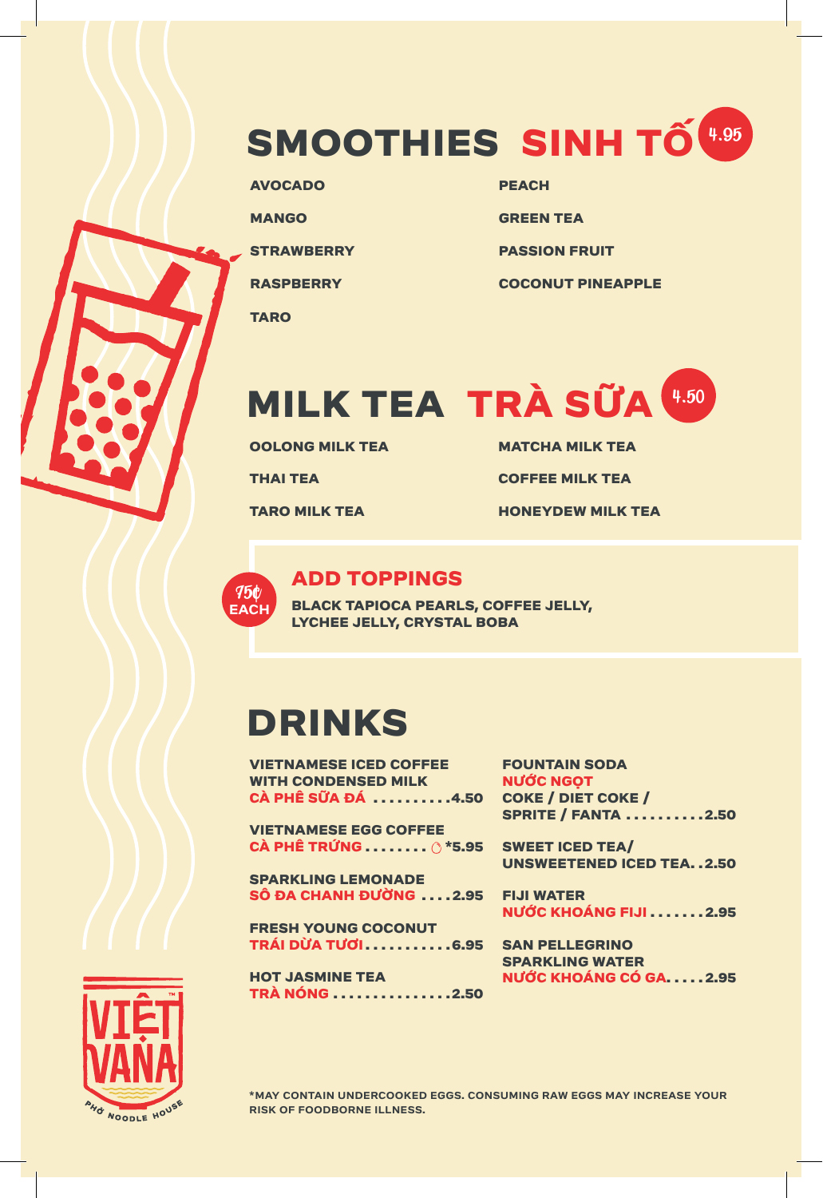# **SMOOTHIES SINH TỐ**  4.95

**AVOCADO MANGO STRAWBERRY RASPBERRY**

**TARO**

**PEACH**

**GREEN TEA**

**PASSION FRUIT**

**COCONUT PINEAPPLE** 

# **MILK TEA TRÀ SỮA**  4.50

**OOLONG MILK TEA**

**THAI TEA**

**TARO MILK TEA**

**MATCHA MILK TEA**

**COFFEE MILK TEA**

**HONEYDEW MILK TEA**



#### **ADD TOPPINGS**

**BLACK TAPIOCA PEARLS, COFFEE JELLY, LYCHEE JELLY, CRYSTAL BOBA**

## **DRINKS**

**VIETNAMESE ICED COFFEE WITH CONDENSED MILK CÀ PHÊ SỮA ĐÁ . . . . . . . . . 4.50**

**VIETNAMESE EGG COFFEE CÀ PHÊ TRỨNG........ \*5.95**

**SPARKLING LEMONADE SÔ ĐA CHANH ĐƯỜNG . . . 2.95**

**FRESH YOUNG COCONUT TRÁI DỪA TƯƠI . . . . . . . . . . 6.95**

**HOT JASMINE TEA TRÀ NÓNG . . . . . . . . . . . . . . 2.50** **FOUNTAIN SODA NƯỚC NGỌT COKE / DIET COKE / SPRITE / FANTA . . . . . . . . . 2.50**

**SWEET ICED TEA/ UNSWEETENED ICED TEA. . 2.50** 

**FIJI WATER NƯỚC KHOÁNG FIJI....... 2.95**

**SAN PELLEGRINO SPARKLING WATER NƯỚC KHOÁNG CÓ GA . . . . 2.95**



**\*MAY CONTAIN UNDERCOOKED EGGS. CONSUMING RAW EGGS MAY INCREASE YOUR RISK OF FOODBORNE ILLNESS.**